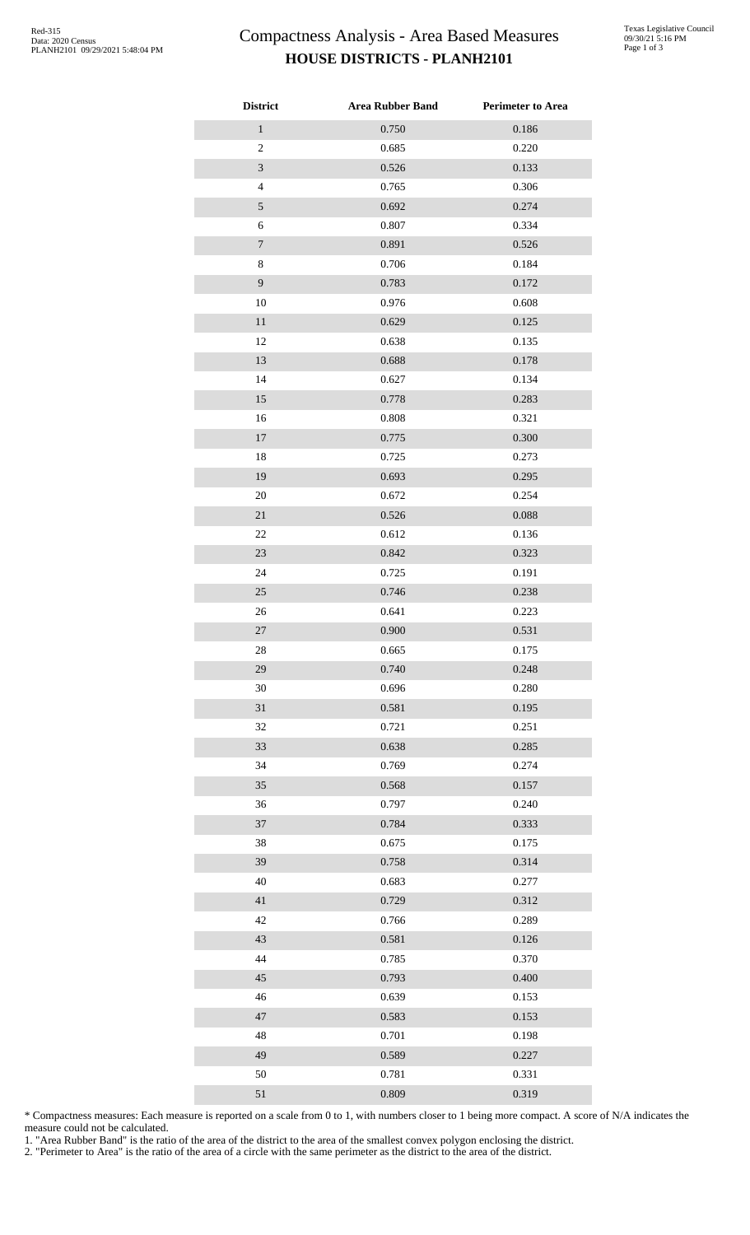## Compactness Analysis - Area Based Measures **HOUSE DISTRICTS - PLANH2101**

| <b>District</b>  | <b>Area Rubber Band</b> | <b>Perimeter to Area</b> |
|------------------|-------------------------|--------------------------|
| $\,1$            | 0.750                   | 0.186                    |
| $\overline{c}$   | 0.685                   | 0.220                    |
| $\overline{3}$   | 0.526                   | 0.133                    |
| $\overline{4}$   | 0.765                   | 0.306                    |
| $\sqrt{5}$       | 0.692                   | 0.274                    |
| $\sqrt{6}$       | 0.807                   | 0.334                    |
| $\boldsymbol{7}$ | 0.891                   | 0.526                    |
| $8\,$            | 0.706                   | 0.184                    |
| 9                | 0.783                   | 0.172                    |
| 10               | 0.976                   | 0.608                    |
| $11\,$           | 0.629                   | 0.125                    |
| 12               | 0.638                   | 0.135                    |
| 13               | 0.688                   | 0.178                    |
| 14               | 0.627                   | 0.134                    |
| 15               | 0.778                   | 0.283                    |
| 16               | 0.808                   | 0.321                    |
| $17\,$           | 0.775                   | 0.300                    |
| 18               | 0.725                   | 0.273                    |
| 19               | 0.693                   | 0.295                    |
| 20               | 0.672                   | 0.254                    |
| 21               | 0.526                   | 0.088                    |
| 22               | 0.612                   | 0.136                    |
| 23               | 0.842                   | 0.323                    |
| 24               | 0.725                   | 0.191                    |
| 25               | 0.746                   | 0.238                    |
| 26               | 0.641                   | 0.223                    |
| 27               | 0.900                   | 0.531                    |
| 28               | 0.665                   | 0.175                    |
| 29               | 0.740                   | 0.248                    |
| 30               | 0.696                   | 0.280                    |
| 31               | 0.581                   | 0.195                    |
| 32               | 0.721                   | 0.251                    |
| 33               | 0.638                   | 0.285                    |
| 34               | 0.769                   | 0.274                    |
| 35               | 0.568                   | 0.157                    |
| 36               | 0.797                   | 0.240                    |
| 37               | 0.784                   | 0.333                    |
| 38               | 0.675                   | 0.175                    |
| 39               | 0.758                   | 0.314                    |
| 40               | 0.683                   | 0.277                    |
| 41               | 0.729                   | 0.312                    |
| 42               | 0.766                   | 0.289                    |
| 43               | 0.581                   | 0.126                    |
| 44               | 0.785                   | 0.370                    |
| 45               | 0.793                   | 0.400                    |
| 46               | 0.639                   | 0.153                    |
| 47               | 0.583                   | 0.153                    |
| 48               | 0.701                   | 0.198                    |
| 49               | 0.589                   | 0.227                    |
| 50               | 0.781                   | 0.331                    |
| 51               | 0.809                   | 0.319                    |

\* Compactness measures: Each measure is reported on a scale from 0 to 1, with numbers closer to 1 being more compact. A score of N/A indicates the measure could not be calculated.

1. "Area Rubber Band" is the ratio of the area of the district to the area of the smallest convex polygon enclosing the district.

2. "Perimeter to Area" is the ratio of the area of a circle with the same perimeter as the district to the area of the district.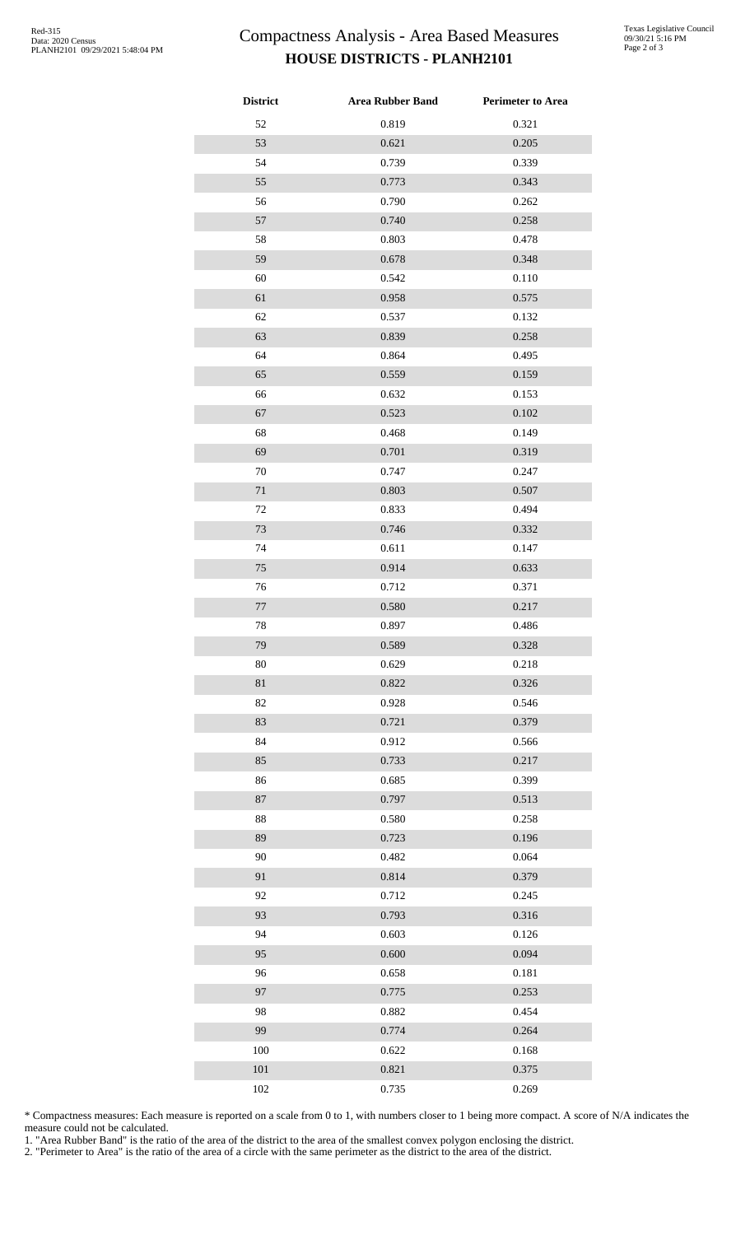## Compactness Analysis - Area Based Measures **HOUSE DISTRICTS - PLANH2101**

| <b>District</b> | <b>Area Rubber Band</b> | <b>Perimeter to Area</b> |
|-----------------|-------------------------|--------------------------|
| 52              | 0.819                   | 0.321                    |
| 53              | 0.621                   | 0.205                    |
| 54              | 0.739                   | 0.339                    |
| 55              | 0.773                   | 0.343                    |
| 56              | 0.790                   | 0.262                    |
| 57              | 0.740                   | 0.258                    |
| 58              | 0.803                   | 0.478                    |
| 59              | 0.678                   | 0.348                    |
| 60              | 0.542                   | 0.110                    |
| 61              | 0.958                   | 0.575                    |
| 62              | 0.537                   | 0.132                    |
| 63              | 0.839                   | 0.258                    |
| 64              | 0.864                   | 0.495                    |
| 65              | 0.559                   | 0.159                    |
| 66              | 0.632                   | 0.153                    |
| 67              | 0.523                   | 0.102                    |
| 68              | 0.468                   | 0.149                    |
| 69              | 0.701                   | 0.319                    |
| 70              | 0.747                   | 0.247                    |
| 71              | 0.803                   | 0.507                    |
| 72              | 0.833                   | 0.494                    |
| 73              | 0.746                   | 0.332                    |
| 74              | 0.611                   | 0.147                    |
| $75\,$          | 0.914                   | 0.633                    |
| 76              | 0.712                   | 0.371                    |
| $77\,$          | 0.580                   | 0.217                    |
| 78              | 0.897                   | 0.486                    |
| 79              | 0.589                   | 0.328                    |
| 80              | 0.629                   | 0.218                    |
| 81              | 0.822                   | 0.326                    |
| 82              | 0.928                   | 0.546                    |
| 83              | 0.721                   | 0.379                    |
| 84              | 0.912                   | 0.566                    |
| 85              | 0.733                   | 0.217                    |
| 86              | 0.685                   | 0.399                    |
| 87              | 0.797                   | 0.513                    |
| 88              | 0.580                   | 0.258                    |
| 89              | 0.723                   | 0.196                    |
| 90              | 0.482                   | 0.064                    |
| 91              | 0.814                   | 0.379                    |
| 92              | 0.712                   | 0.245                    |
| 93              | 0.793                   | 0.316                    |
| 94              | 0.603                   | 0.126                    |
| 95              | 0.600                   | 0.094                    |
| 96              | 0.658                   | 0.181                    |
| 97              | 0.775                   | 0.253                    |
| 98              | 0.882                   | 0.454                    |
| 99              | 0.774                   | 0.264                    |
| 100             | 0.622                   | 0.168                    |
| $101\,$         | 0.821                   | 0.375                    |
| 102             | 0.735                   | 0.269                    |

\* Compactness measures: Each measure is reported on a scale from 0 to 1, with numbers closer to 1 being more compact. A score of N/A indicates the measure could not be calculated.

1. "Area Rubber Band" is the ratio of the area of the district to the area of the smallest convex polygon enclosing the district.

2. "Perimeter to Area" is the ratio of the area of a circle with the same perimeter as the district to the area of the district.